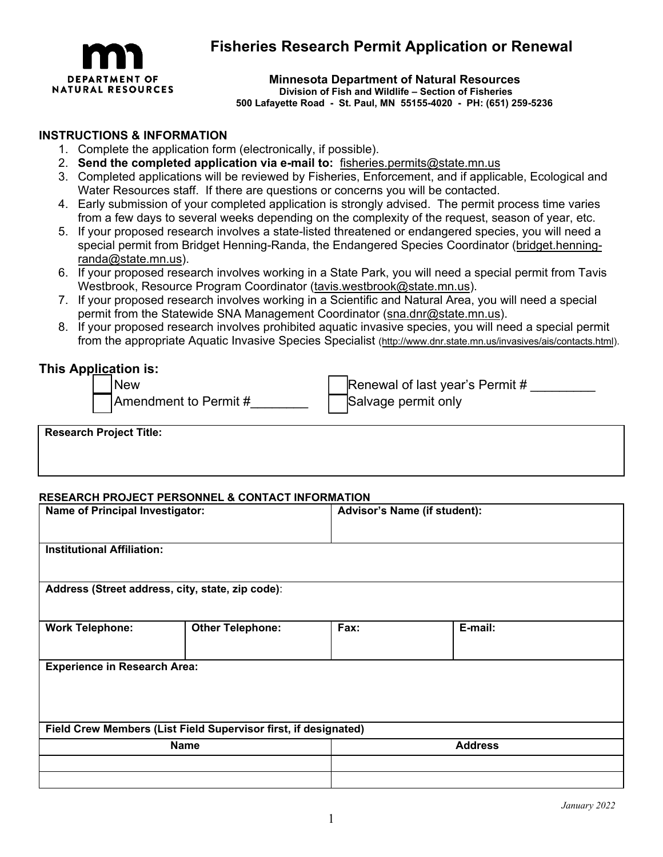

# **Fisheries Research Permit Application or Renewal**

## **Minnesota Department of Natural Resources**

 **Division of Fish and Wildlife – Section of Fisheries**

**500 Lafayette Road - St. Paul, MN 55155-4020 - PH: (651) 259-5236**

### **INSTRUCTIONS & INFORMATION**

- 1. Complete the application form (electronically, if possible).
- 2. **Send the completed application via e-mail to:** [fisheries.permits@state.mn.us](mailto:fisheries.permits@state.mn.us)
- 3. Completed applications will be reviewed by Fisheries, Enforcement, and if applicable, Ecological and Water Resources staff. If there are questions or concerns you will be contacted.
- 4. Early submission of your completed application is strongly advised. The permit process time varies from a few days to several weeks depending on the complexity of the request, season of year, etc.
- 5. If your proposed research involves a state-listed threatened or endangered species, you will need a special permit from Bridget Henning-Randa, the Endangered Species Coordinator [\(bridget.henning](mailto:bridget.henning-randa@state.mn.us)[randa@state.mn.us\)](mailto:bridget.henning-randa@state.mn.us).
- 6. If your proposed research involves working in a State Park, you will need a special permit from Tavis Westbrook, Resource Program Coordinator [\(tavis.westbrook@state.mn.us\).](mailto:tavis.westbrook@state.mn.us)
- 7. If your proposed research involves working in a Scientific and Natural Area, you will need a special permit from the Statewide SNA Management Coordinator [\(sna.dnr@state.mn.us\).](mailto:sna.dnr@state.mn.us)
- 8. If your proposed research involves prohibited aquatic invasive species, you will need a special permit from the appropriate Aquatic Invasive Species Specialist [\(http://www.dnr.state.mn.us/invasives/ais/contacts.html\).](http://www.dnr.state.mn.us/invasives/ais/contacts.html)

## **This Application is:**

New | |Renewal of last year's Permit # \_\_\_\_\_\_\_\_\_

□ Amendment to Permit #\_\_\_\_\_\_\_\_\_\_ □ Salvage permit only

**Research Project Title:**

#### **RESEARCH PROJECT PERSONNEL & CONTACT INFORMATION**

| Name of Principal Investigator:                  |                                                                                | Advisor's Name (if student): |                |  |  |
|--------------------------------------------------|--------------------------------------------------------------------------------|------------------------------|----------------|--|--|
| <b>Institutional Affiliation:</b>                |                                                                                |                              |                |  |  |
| Address (Street address, city, state, zip code): |                                                                                |                              |                |  |  |
| <b>Work Telephone:</b>                           | <b>Other Telephone:</b>                                                        | Fax:                         | E-mail:        |  |  |
| <b>Experience in Research Area:</b>              |                                                                                |                              |                |  |  |
|                                                  |                                                                                |                              |                |  |  |
|                                                  | Field Crew Members (List Field Supervisor first, if designated)<br><b>Name</b> |                              | <b>Address</b> |  |  |
|                                                  |                                                                                |                              |                |  |  |
|                                                  |                                                                                |                              |                |  |  |